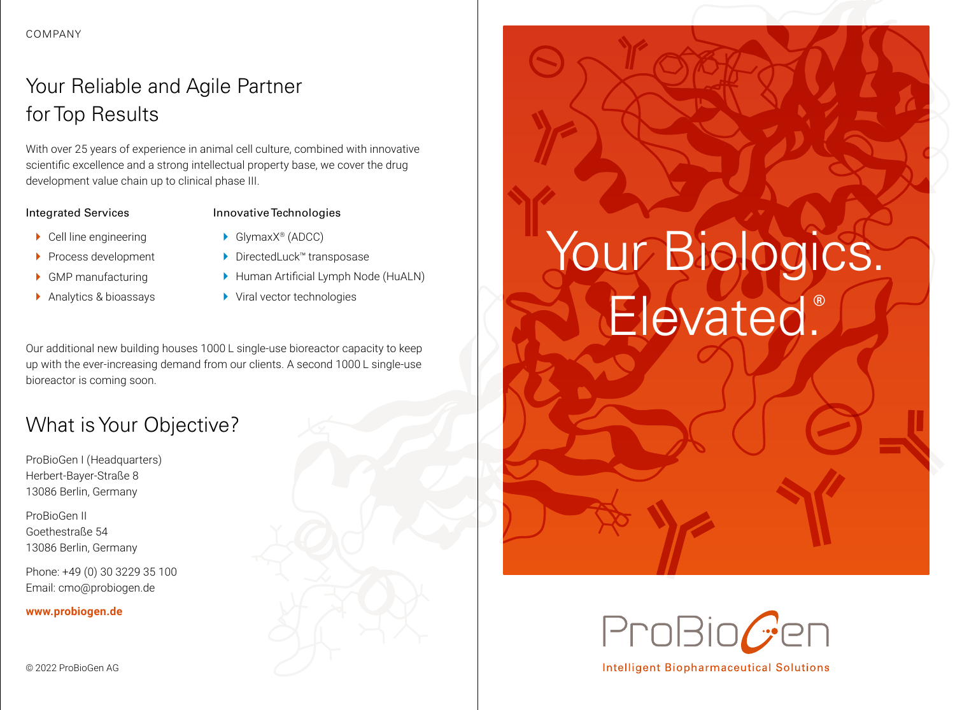# Your Reliable and Agile Partner for Top Results

With over 25 years of experience in animal cell culture, combined with innovative scientific excellence and a strong intellectual property base, we cover the drug development value chain up to clinical phase III.

#### Integrated Services

### Innovative Technologies

- $\blacktriangleright$  Cell line engineering
- **Process development**
- } GMP manufacturing
- ▶ Analytics & bioassays
- ▶ GlymaxX<sup>®</sup> (ADCC)
- $\blacktriangleright$  DirectedLuck<sup>™</sup> transposase
- } Human Artificial Lymph Node (HuALN)
- ▶ Viral vector technologies

Our additional new building houses 1000 L single-use bioreactor capacity to keep up with the ever-increasing demand from our clients. A second 1000 L single-use bioreactor is coming soon.

# What is Your Objective?

ProBioGen I (Headquarters) Herbert-Bayer-Straße 8 13086 Berlin, Germany

ProBioGen II Goethestraße 54 13086 Berlin, Germany

Phone: +49 (0) 30 3229 35 100 Email: cmo@probiogen.de

#### **www.probiogen.de**





**Intelligent Biopharmaceutical Solutions**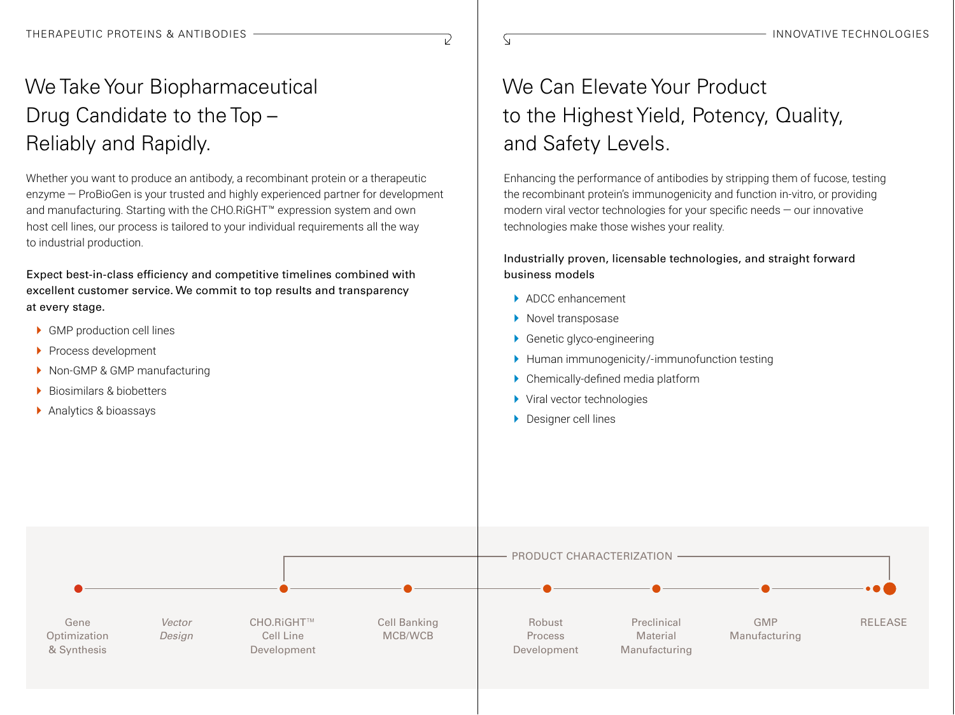$\overline{\mathsf{S}}$ 

 $\overline{\nu}$ 

# We Take Your Biopharmaceutical Drug Candidate to the Top – Reliably and Rapidly.

Whether you want to produce an antibody, a recombinant protein or a therapeutic enzyme — ProBioGen is your trusted and highly experienced partner for development and manufacturing. Starting with the CHO.RiGHT™ expression system and own host cell lines, our process is tailored to your individual requirements all the way to industrial production.

Expect best-in-class efficiency and competitive timelines combined with excellent customer service. We commit to top results and transparency at every stage.

- ▶ GMP production cell lines
- ▶ Process development
- ▶ Non-GMP & GMP manufacturing
- ▶ Biosimilars & biobetters
- ▶ Analytics & bioassays

# We Can Elevate Your Product to the Highest Yield, Potency, Quality, and Safety Levels.

Enhancing the performance of antibodies by stripping them of fucose, testing the recombinant protein's immunogenicity and function in-vitro, or providing modern viral vector technologies for your specific needs — our innovative technologies make those wishes your reality.

#### Industrially proven, licensable technologies, and straight forward business models

- } ADCC enhancement
- ▶ Novel transposase
- ▶ Genetic glyco-engineering
- } Human immunogenicity/-immunofunction testing
- } Chemically-defined media platform
- ▶ Viral vector technologies
- **Designer cell lines**

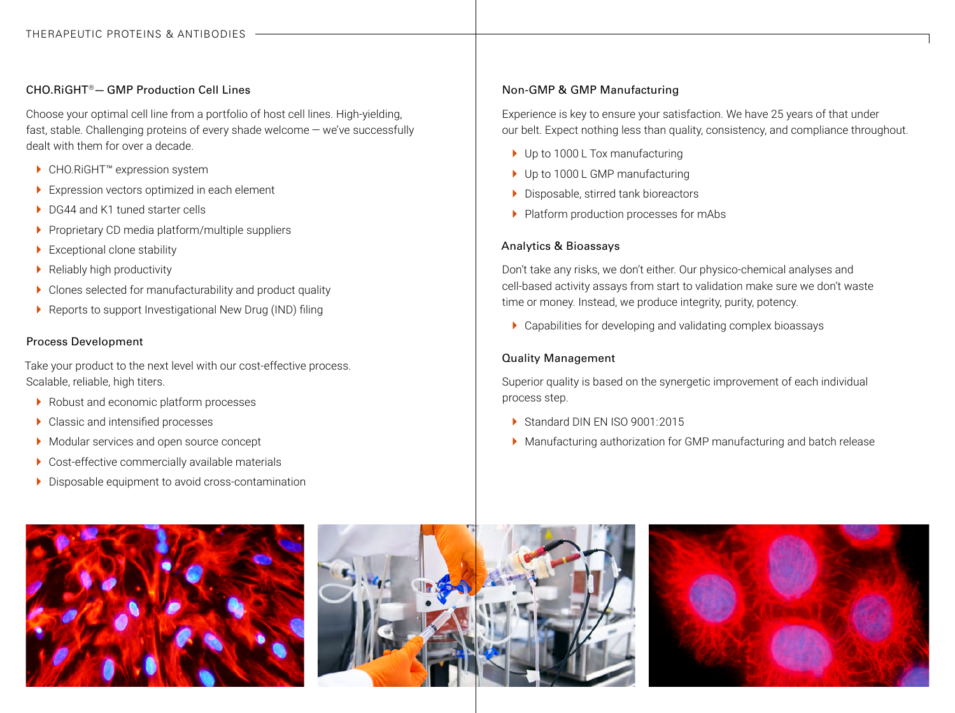#### CHO.RiGHT®—GMP Production Cell Lines

Choose your optimal cell line from a portfolio of host cell lines. High-yielding, fast, stable. Challenging proteins of every shade welcome — we've successfully dealt with them for over a decade.

- ▶ CHO.RiGHT<sup>™</sup> expression system
- ▶ Expression vectors optimized in each element
- ▶ DG44 and K1 tuned starter cells
- ▶ Proprietary CD media platform/multiple suppliers
- ▶ Exceptional clone stability
- $\blacktriangleright$  Reliably high productivity
- } Clones selected for manufacturability and product quality
- ▶ Reports to support Investigational New Drug (IND) filing

#### Process Development

Take your product to the next level with our cost-effective process. Scalable, reliable, high titers.

- ▶ Robust and economic platform processes
- ▶ Classic and intensified processes
- ▶ Modular services and open source concept
- ▶ Cost-effective commercially available materials
- } Disposable equipment to avoid cross-contamination

#### Non-GMP & GMP Manufacturing

Experience is key to ensure your satisfaction. We have 25 years of that under our belt. Expect nothing less than quality, consistency, and compliance throughout.

- ▶ Up to 1000 L Tox manufacturing
- ▶ Up to 1000 L GMP manufacturing
- } Disposable, stirred tank bioreactors
- ▶ Platform production processes for mAbs

#### Analytics & Bioassays

Don't take any risks, we don't either. Our physico-chemical analyses and cell-based activity assays from start to validation make sure we don't waste time or money. Instead, we produce integrity, purity, potency.

 $\blacktriangleright$  Capabilities for developing and validating complex bioassays

#### Quality Management

Superior quality is based on the synergetic improvement of each individual process step.

- ▶ Standard DIN EN ISO 9001:2015
- } Manufacturing authorization for GMP manufacturing and batch release